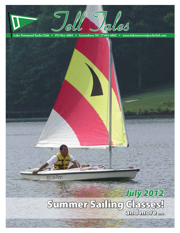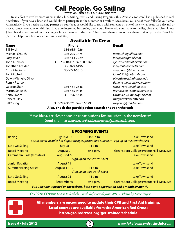# **Call People. Go Sailing**

*\*\*\*\* REACH OUT AND CALL SOMEONE \*\*\*\**

In an effort to involve more sailors in the Club's Sailing Events and Racing Programs, this "Available to Crew" list is published in each newsletter. If you have a boat and would like to participate in the Summer or Frostbite Race Series, call one of these folks for your crew. Alternatively, if you need a cruising partner on your boat or would like to team with someone on one of the city sailboats for a day sail or a race, contact someone on this list. If you are interested in crewing and would like to add your name to the list, please let Joleen know. Joleen has the best intentions of calling each new member if she doesn't hear from them to encourage them to sign up on the Crew List. (See the Help Lines box located in this newsletter).

|                      | <b>Available To Crew</b>  |                            |
|----------------------|---------------------------|----------------------------|
| <b>Name</b>          | <b>Phone</b>              | E-mail                     |
| <b>Bill Byrd</b>     | 336-635-1926              |                            |
| Michael Crouch       | 336-275-3475              | mcrouch@guilford.edu       |
| Lacy Joyce           | 336-413-7929              | lacyjoyce@gmail.com        |
| John Kuzmier         | 336-282-0411/336-580-5766 | cjkuzmier@infolinktele.com |
| Jonathan Kreider     | 336-829-6196              | jon@robbinskreider.com     |
| Chris Maginnis       | 336-793-5313              | cmaginnis@triad.rr.com     |
| Jon Mitchell         |                           | jonm5214@hotmail.com       |
| Dawn-Michelle Oliver |                           | oliverd@rockinghamcc.edu   |
| Remik Pearson        |                           | darlene_pearson@volvo.com  |
| George Shen          | 336-451-2646              | stock_78750@yahoo.com      |
| Martin Sinozich      | 336-455-9445              | msinozich@vennpartners.com |
| Keith Smoot          | 336 996-6734              | Gwaihir23@Embargmail.com   |
| <b>Robert Riley</b>  |                           | rriley@wakehealth.edu      |
| <b>Bill Young</b>    | 336-292-3102/336-707-0295 | woyoung@triad.rr.com       |
|                      |                           |                            |

Also, check the participation scratch sheet on the web

**Have ideas, articles,photos or contributions for inclusion in the newsletter? Send them to** *newsletter@laketownsendyachtclub.com.*

| <b>UPCOMING EVENTS</b>                                                                            |                     |              |                                            |  |  |  |  |  |
|---------------------------------------------------------------------------------------------------|---------------------|--------------|--------------------------------------------|--|--|--|--|--|
| Racing                                                                                            | July 14 & 15        | $11:00$ a.m. | Lake Townsend                              |  |  |  |  |  |
| • Social menu includes hot dogs, sausages, pasta salad & dessert • sign up on the scratch sheet • |                     |              |                                            |  |  |  |  |  |
| Let's Go Sailing                                                                                  | July 28             | 11 a.m.      | Lake Townsend                              |  |  |  |  |  |
| <b>Board Meeting</b>                                                                              | <b>August 2</b>     | 5:45 p.m.    | Greensboro College; Proctor Hall West, 226 |  |  |  |  |  |
| <b>Catamaran Class (tentative)</b>                                                                | August 4-5          |              | Lake Townsend                              |  |  |  |  |  |
| • Sign up on the scratch sheet •                                                                  |                     |              |                                            |  |  |  |  |  |
| <b>Junior Regatta</b>                                                                             | August 11           |              | Lake Townsend                              |  |  |  |  |  |
| <b>Summer Racing Series</b>                                                                       | <b>August 11-12</b> | 11 a.m.      | Lake Townsend                              |  |  |  |  |  |
| • Sign up on the scratch sheet •                                                                  |                     |              |                                            |  |  |  |  |  |
| Let's Go Sailing                                                                                  | August 25           | 11 a.m.      | Lake Townsend                              |  |  |  |  |  |
| <b>Board Meeting</b>                                                                              | September 6         | 5:45 p.m.    | Greensboro College; Proctor Hall West, 226 |  |  |  |  |  |
| Full Calendar is posted on the website, both a one page version and a month by month.             |                     |              |                                            |  |  |  |  |  |

*ON THE COVER: Learn to Sail class with light wind, June 2012. Photo by Steve Raper*

All members are encouraged to update their CPR and First Aid training. Local courses are available from the American Red Cross: http://gso.redcross.org/get-trained/schedule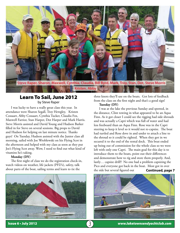

### Learn To Sail, June 2012 by Steve Raper

I was lucky to have a really great class this year. In attendance were Sharon Segall, Troy Hewgley, Kristen Cossaart, Abby Cossaart, Cynthia Tucker, Claudia Fox, Maxwell Farrior, Stan Harper, Dot Harper and Mark Harris. Steve Morris assisted and David Young and Hudson Barker filled in for Steve on several sessions. Big props to David and Hudson for helping on last minute notice. Thanks guys! On Tuesday, Hudson assisted with the Junior class all morning, sailed with Joe Wroblewski on his Flying Scot in the afternoon and helped with my class as soon as they put Joe's Flying Scot away. Wow, I need to find out what kind of vitamins he's taking.

#### **Monday (DY)**

The first night of class we do the registration check-in, watch videos on weather, life jackets (PFD's), safety, talk about parts of the boat, sailing terms and learn to tie the



three knots they'll use on the boats. Got lots of feedback from the class on the first night and that's a good sign!

**Tuesday (DY)**

I was at the lake the previous Sunday and spotted, in the distance, Clint towing in what appeared to be an Aqua Finn. As it got closer I could see the rigging had side shrouds and was actually a Capri which was full of water and had less freeboard than an Aqua Finn. Rose was in the Capri steering to keep it level so it would not re-capsize. The boat had turtled and Rose dove in and under to attach a line to the shroud so it could be righted. When they got in we secured it to the end of the rental dock. This boat ended up being out of commission for the whole class so we were left with only one Capri. The main goal for this day is to introduce them to the boats, point out their differences and demonstrate how to rig and store them properly. And, lastly… capsize drill!! No one had a problem capsizing the Pico and everyone got back in the boat. Most got in over the side but several figured out **Continued, page 7**



Issue 6 • July 2012 3 *www.laketownsendyachtclub.com*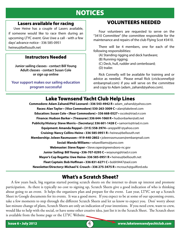# NOTICES

### Lasers available for racing

 Uwe Heine has a couple of Lasers available, if someone would like to race them during an upcoming LTYC event. Give Uwe a call - with a few days' advance notice - 336 585-0951 heineu@bellsouth.net

### Instructors Needed

**Junior sailing classes - contact Bill Young Adult classes - contact Susan Cole or sign up online**

**Your support makes our sailing education program successful**

# VOLUNTEERS NEEDED

Four volunteers are requested to serve on the "3410 Committee" (the committee responsible for the maintenance and repairs of the club Flying Scot #3410.

There will be 4 members, one for each of the following responsibilities:

(A) Standing rigging and deck hardware;

(B) Running rigging;

- (C) Deck, hull, rudder and centerboard;
- (D) trailer.

Rick Connelly will be available for training and or advice as needed. Please email Rick (crickconnelly@ embarqmail.com) if you will serve on the committee and copy to Adam (adam\_zahand@yahoo.com).

# Lake Townsend Yacht Club Help Lines

**Commodore: Adam Zahand/Phil Leonard • 336 543-4942 R •** adam\_zahand@yahoo.com **Races: Alan Taylor • (Vice Commodore) 530-263-3009 C •** alan@lakelevel.com **Education: Susan Cole • (Rear Commodore) • 336 668-0527 •** sscole@triad.rr.com **Finance: Hudson Barker • (Treasurer) 336 644-1060 R •** hudsonbarker@att.net **Publicity/History: Steve Morris • (Secretary) 336 601-1428 C •** samorris@triad.rr.com **Equipment: Amanda Reppel • (315) 558-3974 •** areppel81@yahoo.com **Cruising: Nancy Collins-Heine • 336 585-0951 R •** heineu@bellsouth.net **Membership: Joleen Rasmussen • 919-440-2802 •** joleenrasmussen@embarqmail.com **Social: Wanda Williams •** wkawilliams@juno.com **Webmaster: Steve Raper •** Steve.raper@greensboro-nc.gov **Junior Sailing: Bill Young • 336-707-0295 C •** woyoung@triad.rr.com **Mayor's Cup Regatta: Uwe Heine• 336 585-0951 R •** heineu@bellsouth.net **Fleet Captain: Bob Hoffman • 336 831-6271 C •** bobh9447@aol.com **Newsletter/Directory: Michael V. Crouch • 336 275-3475 R •** mcrouch@guilford.edu

### What's a Scratch Sheet? j

A few years back, big regattas started posting scratch sheets on the internet to drum up interest and promote participation. As there is typically no cost to signing up, Scratch Sheets give a good indication of who is thinking about going to an event. It helps the organizers plan and prepare for the event. Last year, LTYC set up a Scratch Sheet in Google documents for its events. It was a good move. If you expect to be at some of our upcoming events, take a few moments to step through the different Scratch Sheets and let us know to expect you. Don' worry about last minute change of plans, Scratch Sheets are only an indication of your intentions. If you need crew, want to crew, would like to help with the social, or have some other creative idea, just list it in the Scratch Sheet. The Scratch sheet is available from the home page or the LTYC Website.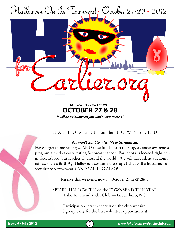



## *RESERVE THIS WEEKEND ...* **OCTOBER 27 & 28**

*It will be a Halloween you won't want to miss !*

## H A L L O W E E N on the T O W N S E N D

### *You won't want to miss this extravaganza.*

Have a great time sailing ... AND raise funds for earlier.org, a cancer awareness program aimed at early testing for breast cancer. Earlier.org is located right here in Greensboro, but reaches all around the world. We will have silent auctions, raffles, socials & BBQ, Halloween costume dress-ups (what will a buccaneer or scot skipper/crew wear?) AND SAILING ALSO!

Reserve this weekend now ... October 27th & 28th.

SPEND HALLOWEEN on the TOWNSEND THIS YEAR Lake Townsend Yacht Club — Greensboro, NC

> Participation scratch sheet is on the club website. Sign up early for the best volunteer opportunities!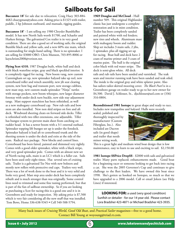# **Sailboats for Sail**

**Buccaneer 18'** for sale due to relocation. Craig Huey 303-884- 4682 chueygman@yahoo.com Asking price is \$1325 with trailer, paddle, 2 hp Johnson outboard, and manuals, rigging guides.

**Buccaneer 18'** - I am selling my 1980 Chrysler BumbleBee model. It has new North Sails worth \$1700, and Schaefer and Harken fittings. The galvanized Cox trailer is in very good condition. There are also a good set of working sails; the original Bumble black and yellow sails, and a new 60% size main, which is outstanding for single-hand sailing. There is no spinnaker. I am selling for \$3000 OBO. Chris Munson, 703-895-8006 or kayschrism2008@verizon.net.

**Flying Scot 4310.** 1987 Douglas built, white hull and deck with black waterline stripe, gray and black speckled interior. It is completely rigged for racing. New boom vang, new custom Cunningham set up, new spinnaker halyard take up reel, new centerboard roller and winch assembly, new jib seat cleating system, new bow bag and transom port, new storage cubbies, new mast step, new custom made spinnaker "Ninja" turtles with storage pockets, new boom whoopee, new larger diameter forestay with under deck turn buckle, new side stay adjustment tangs. Mast support stanchion has been refinished, as well as a new mahogany centerboard cap. New rub rails and bow stem are also installed. New non skid stripes on fore and aft deck. Windward sheeting cleats on forward side decks. Tiller is refinished with two tiller extensions, one adjustable. Tiller has bungee system to prevent main sheet from catching on rudder head. It has a newer boom with a 3:1 external outhaul. Spinnaker topping lift bungee set up is under the foredeck. Spinnaker halyard is lead aft to centerboard trunk and the sheeting system is under the deck and exits at the side of the seats. Radical race package. New blocks and control lines. Centerboard has been faired, painted and shimmed very tightly. Comes with a good older spinnaker, white with a black stripe, and very good spinnaker pole. Comes with an almost new set of North racing sails, main is an LC1 which is a fuller cut. Sails have been used only eight times. Has several sets of cruising sails. Trailer is a galvanized Tee Nee with new bolsters and mostly new rollers with protective end caps. Trailers very well. There was a lot of work done to the boat and it is very solid and looks very good. Mast step area under deck has been completely rebuilt and is much stronger than was originally. Some control lines need to trimmed and some fine tuning performed, but that is part of the fun of sailboat ownership. So if you are looking at purchasing a Scot for racing-this is a good one and it is in Greensboro and ready for inspection. My asking price is \$7,500 which is very fair considering all the new stuff that was installed. Tom Bews, Home 336-638-9345 • Cell 540-588-5794.

**1969 Douglas and McCloud** - Hull number 509. This original Highlander classic has just undergone a complete restoration and is in mint condition. Trailer has been completely sanded and painted white with red fenders; new tires and wheels. Aluminum mast with mahogany boom and rudder. Ship set includes 3 main sails, 2 jibs, 1 spinnaker, plus all rigging set up for racing. Boat hull and deck have 2 coats of marine primer and 3 coats of marine paint. The hull is the original color black with red water stripe. The deck is semi-gloss white. All deck



rails and rub rails have been sanded and varnished. The teak seats and interior running teak have been sanded and teak oiled. The inside is the original gray and white splatter paint. Also has sailors tailor-skirted mooring cover. *The Black Pearl* is in a Greensboro garage on trailer ready to go to her new owner for \$4,500. David J. Schlosser, Sr., djschlosser@aol.com or (336) 316-0804.

**Reconditioned 1981 Isotope** in great shape and ready to race. Includes new trampoline and halyard. Hulls were recently

sealed, polished and thoroughly inspected by manufacturer (Custom Fiberglass, Inc.). Also included are Dacron sails (in good shape) and trailer that needs minor wiring work.



This is a great light and medium wind boat design that is low maintenance, easy to learn to use and exciting to sail. \$2,150.00

**1981 Isotope \$\$Price Drop\$\$** - \$2000 with sails and galvanized trailer. Many parts replaced; enhancements made. Good boat for a beginning racer or someone looking to get back into racing a cat. She won the 2005 Governor's Cup and continues to give challenge to the fleet leaders. We have owned this boat since 1998. She's gotten us hooked on Isotopes, so much so that we have upgraded to a 2006 model. Call or email Joleen (see Help Lines) if interested.

**LOOKING FOR:** a used (very good condition) Sunfish or detailer - for our 14 year old. Please contact Lora Bradsher 423-4871 or Michael Bradsher 423-3935.

Many back issues of *Cruising World*, *Good Old Boat*, and *Practical Sailor* magazines—free to a good home. Contact Bill Young at woyoung@triad.rr.com.

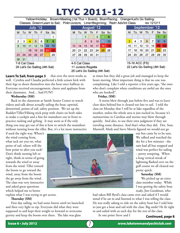# **LTYC 2011-12**

Yellow=Holiday; Brown=Meeting (1st Thur = Board); Blue=Racing; Orange=Let's Go Sailing; Classes: Green=Learn to Sail; Pink=Juniors; Lime=Beginning; Red= Adv/Int Class rev 121211

| July '12       |    |  |                      |  |  |   |
|----------------|----|--|----------------------|--|--|---|
|                |    |  | M Tu W Th F Sa Su    |  |  |   |
|                |    |  |                      |  |  | 1 |
| $\overline{2}$ | 3  |  | 4 5 6 7 8            |  |  |   |
| 9              |    |  | 10 11 12 13 14 15    |  |  |   |
|                |    |  | 18 19 20 21 22       |  |  |   |
|                |    |  | 23 24 25 26 27 28 29 |  |  |   |
| 30             | 31 |  |                      |  |  |   |
| 7-8 Cat Class  |    |  |                      |  |  |   |



| August '12 |  |                |  |  |                          |  |
|------------|--|----------------|--|--|--------------------------|--|
| м          |  |                |  |  | Tu W Th F Sa Su          |  |
|            |  | $\mathbf 1$    |  |  |                          |  |
|            |  |                |  |  | $8$   $9$   10   11   12 |  |
|            |  |                |  |  | 13 14 15 16 17 18 19     |  |
|            |  |                |  |  | 20 21 22 23 24 25 26     |  |
|            |  | 27 28 29 30 31 |  |  |                          |  |
|            |  |                |  |  |                          |  |

4-5 Cat Class 11 Juniors Regatta 25 Let's Go Sailing (4th Sat)

| September '12           |                      |  |                 |  |  |          |
|-------------------------|----------------------|--|-----------------|--|--|----------|
| м                       |                      |  | Tu W Th F Sa Su |  |  |          |
|                         |                      |  |                 |  |  | <b>2</b> |
| 3 <sup>1</sup>          | 4 5 6 7 8            |  |                 |  |  | - 9      |
|                         | 10 11 12 13 14 15 16 |  |                 |  |  |          |
|                         | 17 18 19 20 21 22 23 |  |                 |  |  |          |
|                         | 24 25 26 27 28 29 30 |  |                 |  |  |          |
|                         |                      |  |                 |  |  |          |
| 15.16 $\Lambda$ CC (FC) |                      |  |                 |  |  |          |

15-16 ACC (FS) 22 Let's Go Sailing (4th Sat)

that over the stern works as well. Cynthia and Claudia perfected a little scissor kick with their legs to shoot themselves into the boat once halfway in. Everyone received encouragement, cheers and applause from their classmates. And… had FUN!! **Learn To Sail, from page 3**

### **Wednesday (SM)**

Back in the classroom at Smith Senior Center to watch videos and talk about actually sailing the boat, upwind, downwind, points of sail, safety position. We set up the Rudder/Tiller/Hiking stick prop with chairs on both sides to make a cockpit and a line for mainsheet out in front to practice tacking and gybing. It may seem as if the only thing you may get out of this is how to switch the mainsheet without turning loose the tiller. But, it's a lot more instructive

if used the right way. Where's the wind coming from, what tack are you on, what point of sail, where will the bow point to after you tack? Don't think turning left or right, think in terms of going towards the wind or away from the wind. Tiller toward the boom to go toward the wind, away from the boom the go away from the wind. The class was very interactive and asked great questions which helped me to better

at times but they did a great job and managed to keep the boats moving. Most important thing is that no one was complaining. Like I told a reporter a few years ago, "the ones who don't complain when conditions are awful are the ones who are hooked!".

### **Friday, (SM)**

 A storm blew through just before five and was to leave clear skies behind but it cleared too late to sail. I told the class on Monday that I will be at lake regardless of the weather, unless the whole area is just socked in, because it's summertime in Carolina and storms may blow through quickly. And also, to use their own judgment if they are traveling some distance. And that's what they did. Dot, Stan, Maxwell, Mark and Steve Morris figured we would not go

> out but came by to be sure. We talked and watched the sky for a few minutes - the rain had all but stopped and wind was perfect for sailing – pretty tempting. When a long vertical streak of lightning flashed over on the golf course we all cleared out pretty quick.

### **Saturday (SM)**

We picked up an extra class member today. While I was getting the safety boat ready, Jim Goodman, who

explain what I was trying to get across.

### **Thursday (SM)**

First day sailing, we had some breeze until we launched and then very light to zip. Everyone did what they were supposed to and kept their weight to leeward to overcome gravity and keep the boom over there. The lake was glass

had taken Bill Byrd's class came over and asked if I would mind if he sat in and listened to what I was telling the class. He was really asking to ride on the safety boat but I told him to just get a boat and sail with the class. Big smile! He fit right in and sailed with us each day for the rest of the class.

At one point Steve and I

### **Continued, page 8**